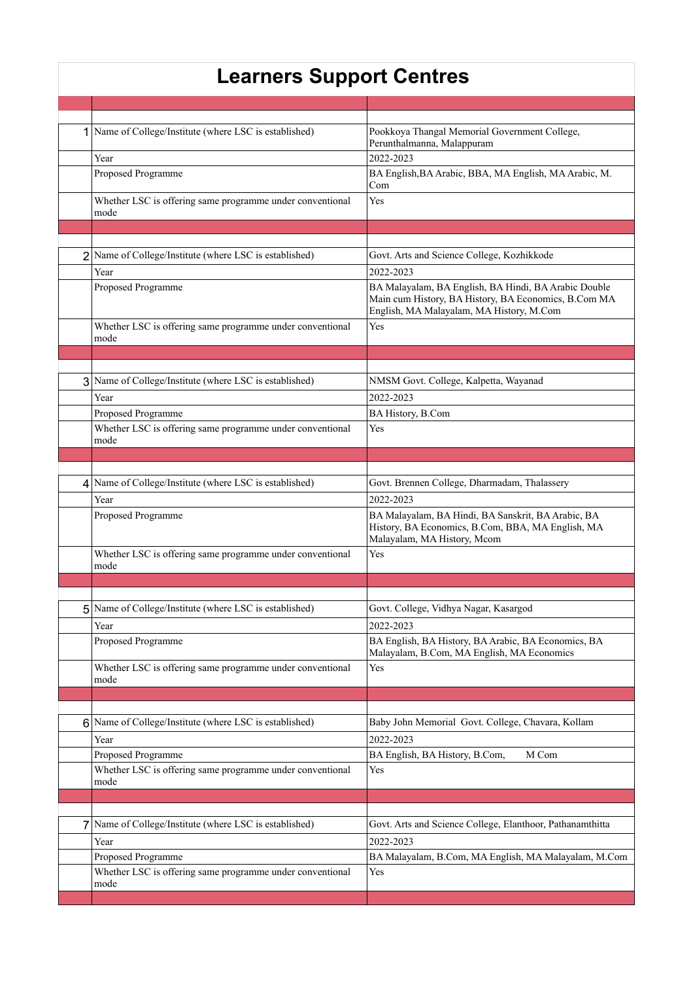## **Learners Support Centres**

|              | 1 Name of College/Institute (where LSC is established)            | Pookkoya Thangal Memorial Government College,<br>Perunthalmanna, Malappuram                                                                              |
|--------------|-------------------------------------------------------------------|----------------------------------------------------------------------------------------------------------------------------------------------------------|
|              | Year                                                              | 2022-2023                                                                                                                                                |
|              | Proposed Programme                                                | BA English, BA Arabic, BBA, MA English, MA Arabic, M.<br>Com                                                                                             |
|              | Whether LSC is offering same programme under conventional         | Yes                                                                                                                                                      |
|              | mode                                                              |                                                                                                                                                          |
|              |                                                                   |                                                                                                                                                          |
|              |                                                                   |                                                                                                                                                          |
|              | 2 Name of College/Institute (where LSC is established)            | Govt. Arts and Science College, Kozhikkode                                                                                                               |
|              | Year                                                              | 2022-2023                                                                                                                                                |
|              | Proposed Programme                                                | BA Malayalam, BA English, BA Hindi, BA Arabic Double<br>Main cum History, BA History, BA Economics, B.Com MA<br>English, MA Malayalam, MA History, M.Com |
|              | Whether LSC is offering same programme under conventional<br>mode | Yes                                                                                                                                                      |
|              |                                                                   |                                                                                                                                                          |
|              |                                                                   |                                                                                                                                                          |
|              | 3 Name of College/Institute (where LSC is established)            | NMSM Govt. College, Kalpetta, Wayanad                                                                                                                    |
|              | Year                                                              | 2022-2023                                                                                                                                                |
|              | Proposed Programme                                                | BA History, B.Com                                                                                                                                        |
|              | Whether LSC is offering same programme under conventional<br>mode | Yes                                                                                                                                                      |
|              |                                                                   |                                                                                                                                                          |
|              |                                                                   |                                                                                                                                                          |
|              | 4 Name of College/Institute (where LSC is established)            | Govt. Brennen College, Dharmadam, Thalassery                                                                                                             |
|              | Year                                                              | 2022-2023                                                                                                                                                |
|              | Proposed Programme                                                | BA Malayalam, BA Hindi, BA Sanskrit, BA Arabic, BA<br>History, BA Economics, B.Com, BBA, MA English, MA<br>Malayalam, MA History, Mcom                   |
|              | Whether LSC is offering same programme under conventional<br>mode | Yes                                                                                                                                                      |
|              |                                                                   |                                                                                                                                                          |
|              |                                                                   |                                                                                                                                                          |
|              | 5 Name of College/Institute (where LSC is established)            | Govt. College, Vidhya Nagar, Kasargod                                                                                                                    |
|              | Year                                                              | 2022-2023                                                                                                                                                |
|              | Proposed Programme                                                | BA English, BA History, BA Arabic, BA Economics, BA                                                                                                      |
|              |                                                                   | Malayalam, B.Com, MA English, MA Economics                                                                                                               |
|              | Whether LSC is offering same programme under conventional<br>mode | Yes                                                                                                                                                      |
|              |                                                                   |                                                                                                                                                          |
|              |                                                                   |                                                                                                                                                          |
|              | 6 Name of College/Institute (where LSC is established)            | Baby John Memorial Govt. College, Chavara, Kollam                                                                                                        |
|              | Year                                                              | 2022-2023                                                                                                                                                |
|              | Proposed Programme                                                | BA English, BA History, B.Com,<br>M Com                                                                                                                  |
|              | Whether LSC is offering same programme under conventional<br>mode | Yes                                                                                                                                                      |
|              |                                                                   |                                                                                                                                                          |
|              |                                                                   |                                                                                                                                                          |
| $\mathbf{7}$ | Name of College/Institute (where LSC is established)              | Govt. Arts and Science College, Elanthoor, Pathanamthitta                                                                                                |
|              | Year                                                              | 2022-2023                                                                                                                                                |
|              | Proposed Programme                                                | BA Malayalam, B.Com, MA English, MA Malayalam, M.Com                                                                                                     |
|              | Whether LSC is offering same programme under conventional<br>mode | Yes                                                                                                                                                      |
|              |                                                                   |                                                                                                                                                          |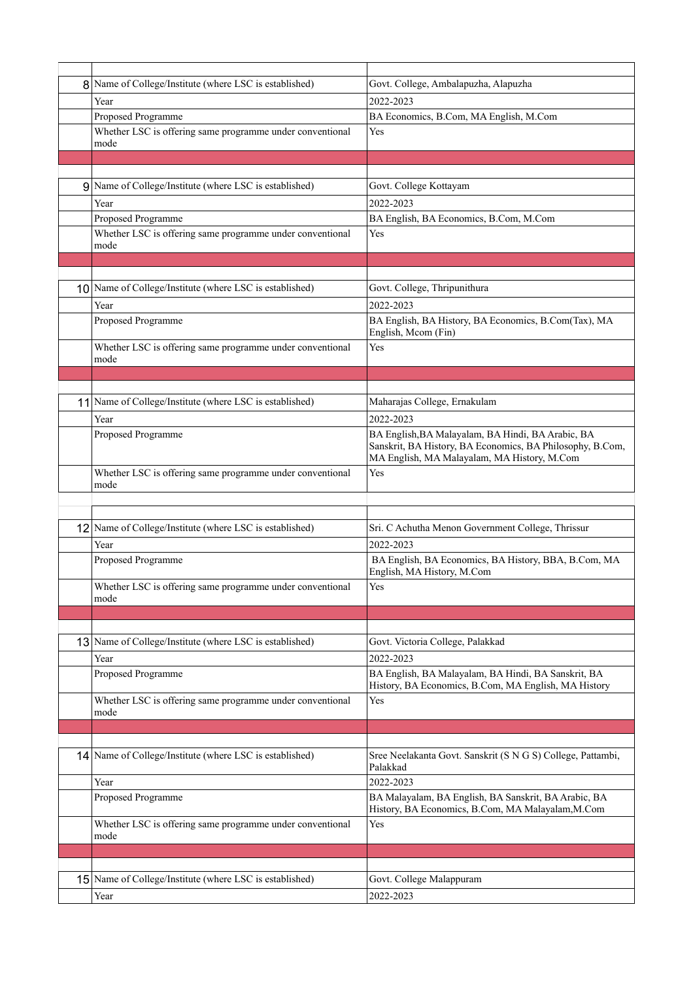| 8 Name of College/Institute (where LSC is established)            | Govt. College, Ambalapuzha, Alapuzha                                                                                                                          |
|-------------------------------------------------------------------|---------------------------------------------------------------------------------------------------------------------------------------------------------------|
| Year                                                              | 2022-2023                                                                                                                                                     |
| Proposed Programme                                                | BA Economics, B.Com, MA English, M.Com                                                                                                                        |
| Whether LSC is offering same programme under conventional<br>mode | Yes                                                                                                                                                           |
|                                                                   |                                                                                                                                                               |
|                                                                   |                                                                                                                                                               |
| 9 Name of College/Institute (where LSC is established)            | Govt. College Kottayam                                                                                                                                        |
| Year                                                              | 2022-2023                                                                                                                                                     |
| Proposed Programme                                                | BA English, BA Economics, B.Com, M.Com                                                                                                                        |
| Whether LSC is offering same programme under conventional<br>mode | Yes                                                                                                                                                           |
|                                                                   |                                                                                                                                                               |
|                                                                   |                                                                                                                                                               |
| 10 Name of College/Institute (where LSC is established)           | Govt. College, Thripunithura                                                                                                                                  |
| Year                                                              | 2022-2023                                                                                                                                                     |
| Proposed Programme                                                | BA English, BA History, BA Economics, B.Com(Tax), MA<br>English, Mcom (Fin)                                                                                   |
| Whether LSC is offering same programme under conventional         | Yes                                                                                                                                                           |
| mode                                                              |                                                                                                                                                               |
|                                                                   |                                                                                                                                                               |
|                                                                   |                                                                                                                                                               |
| 11 Name of College/Institute (where LSC is established)           | Maharajas College, Ernakulam                                                                                                                                  |
| Year                                                              | 2022-2023                                                                                                                                                     |
| Proposed Programme                                                | BA English, BA Malayalam, BA Hindi, BA Arabic, BA<br>Sanskrit, BA History, BA Economics, BA Philosophy, B.Com,<br>MA English, MA Malayalam, MA History, M.Com |
| Whether LSC is offering same programme under conventional         | Yes                                                                                                                                                           |
| mode                                                              |                                                                                                                                                               |
|                                                                   |                                                                                                                                                               |
|                                                                   |                                                                                                                                                               |
| 12 Name of College/Institute (where LSC is established)           | Sri. C Achutha Menon Government College, Thrissur                                                                                                             |
| Year                                                              | 2022-2023                                                                                                                                                     |
| Proposed Programme                                                | BA English, BA Economics, BA History, BBA, B.Com, MA<br>English, MA History, M.Com                                                                            |
| Whether LSC is offering same programme under conventional<br>mode | Yes                                                                                                                                                           |
|                                                                   |                                                                                                                                                               |
|                                                                   |                                                                                                                                                               |
| 13 Name of College/Institute (where LSC is established)           | Govt. Victoria College, Palakkad                                                                                                                              |
| Year                                                              | 2022-2023                                                                                                                                                     |
| Proposed Programme                                                | BA English, BA Malayalam, BA Hindi, BA Sanskrit, BA<br>History, BA Economics, B.Com, MA English, MA History                                                   |
| Whether LSC is offering same programme under conventional         | Yes                                                                                                                                                           |
| mode                                                              |                                                                                                                                                               |
|                                                                   |                                                                                                                                                               |
| 14 Name of College/Institute (where LSC is established)           | Sree Neelakanta Govt. Sanskrit (S N G S) College, Pattambi,                                                                                                   |
|                                                                   | Palakkad                                                                                                                                                      |
| Year                                                              | 2022-2023                                                                                                                                                     |
| Proposed Programme                                                | BA Malayalam, BA English, BA Sanskrit, BA Arabic, BA<br>History, BA Economics, B.Com, MA Malayalam, M.Com                                                     |
| Whether LSC is offering same programme under conventional         | Yes                                                                                                                                                           |
| mode                                                              |                                                                                                                                                               |
|                                                                   |                                                                                                                                                               |
|                                                                   |                                                                                                                                                               |
| 15 Name of College/Institute (where LSC is established)           | Govt. College Malappuram                                                                                                                                      |
| Year                                                              | 2022-2023                                                                                                                                                     |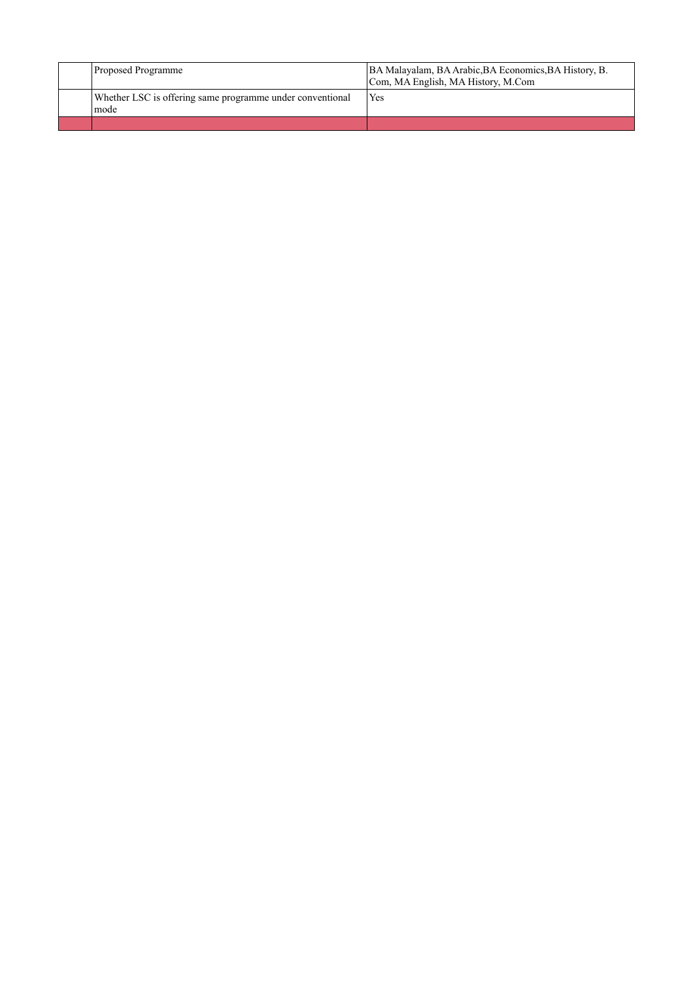| <b>Proposed Programme</b>                                           | BA Malayalam, BA Arabic, BA Economics, BA History, B.<br>Com, MA English, MA History, M.Com |
|---------------------------------------------------------------------|---------------------------------------------------------------------------------------------|
| Whether LSC is offering same programme under conventional<br>l mode | Yes                                                                                         |
|                                                                     |                                                                                             |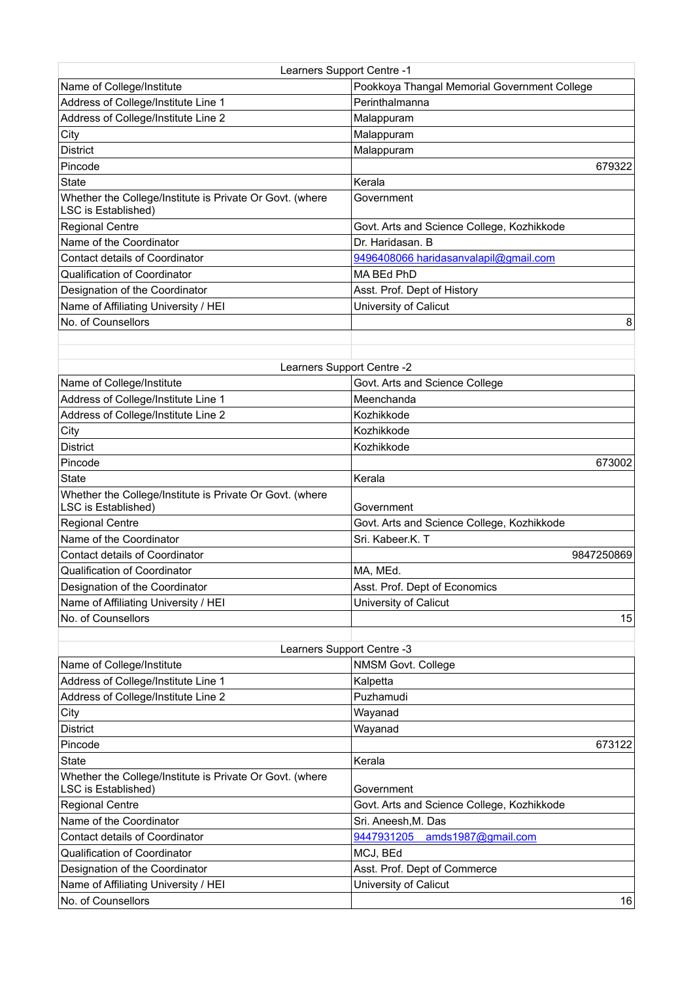| Learners Support Centre -1                                                      |                                              |
|---------------------------------------------------------------------------------|----------------------------------------------|
| Name of College/Institute                                                       | Pookkoya Thangal Memorial Government College |
| Address of College/Institute Line 1                                             | Perinthalmanna                               |
| Address of College/Institute Line 2                                             | Malappuram                                   |
| City                                                                            | Malappuram                                   |
| <b>District</b>                                                                 | Malappuram                                   |
| Pincode                                                                         | 679322                                       |
| <b>State</b>                                                                    | Kerala                                       |
| Whether the College/Institute is Private Or Govt. (where<br>LSC is Established) | Government                                   |
| <b>Regional Centre</b>                                                          | Govt. Arts and Science College, Kozhikkode   |
| Name of the Coordinator                                                         | Dr. Haridasan. B                             |
| <b>Contact details of Coordinator</b>                                           | 9496408066 haridasanvalapil@gmail.com        |
| Qualification of Coordinator                                                    | MA BEd PhD                                   |
| Designation of the Coordinator                                                  | Asst. Prof. Dept of History                  |
| Name of Affiliating University / HEI                                            | University of Calicut                        |
| No. of Counsellors                                                              | 8                                            |
|                                                                                 |                                              |

| Learners Support Centre -2                               |                                            |  |
|----------------------------------------------------------|--------------------------------------------|--|
| Name of College/Institute                                | Govt. Arts and Science College             |  |
| Address of College/Institute Line 1                      | Meenchanda                                 |  |
| Address of College/Institute Line 2                      | Kozhikkode                                 |  |
| City                                                     | Kozhikkode                                 |  |
| <b>District</b>                                          | Kozhikkode                                 |  |
| Pincode                                                  | 673002                                     |  |
| <b>State</b>                                             | Kerala                                     |  |
| Whether the College/Institute is Private Or Govt. (where |                                            |  |
| LSC is Established)                                      | Government                                 |  |
| <b>Regional Centre</b>                                   | Govt. Arts and Science College, Kozhikkode |  |
| Name of the Coordinator                                  | Sri. Kabeer.K. T                           |  |
| <b>Contact details of Coordinator</b>                    | 9847250869                                 |  |
| <b>Qualification of Coordinator</b>                      | MA, MEd.                                   |  |
| Designation of the Coordinator                           | Asst. Prof. Dept of Economics              |  |
| Name of Affiliating University / HEI                     | University of Calicut                      |  |
| No. of Counsellors                                       | 15                                         |  |
|                                                          |                                            |  |

| Learners Support Centre -3                                                      |                                            |  |
|---------------------------------------------------------------------------------|--------------------------------------------|--|
| Name of College/Institute                                                       | NMSM Govt. College                         |  |
| Address of College/Institute Line 1                                             | Kalpetta                                   |  |
| Address of College/Institute Line 2                                             | Puzhamudi                                  |  |
| City                                                                            | Wayanad                                    |  |
| <b>District</b>                                                                 | Wayanad                                    |  |
| Pincode                                                                         | 673122                                     |  |
| <b>State</b>                                                                    | Kerala                                     |  |
| Whether the College/Institute is Private Or Govt. (where<br>LSC is Established) | Government                                 |  |
| <b>Regional Centre</b>                                                          | Govt. Arts and Science College, Kozhikkode |  |
| Name of the Coordinator                                                         | Sri. Aneesh, M. Das                        |  |
| Contact details of Coordinator                                                  | 9447931205 amds1987@gmail.com              |  |
| Qualification of Coordinator                                                    | MCJ, BEd                                   |  |
| Designation of the Coordinator                                                  | Asst. Prof. Dept of Commerce               |  |
| Name of Affiliating University / HEI                                            | University of Calicut                      |  |
| No. of Counsellors                                                              | 16                                         |  |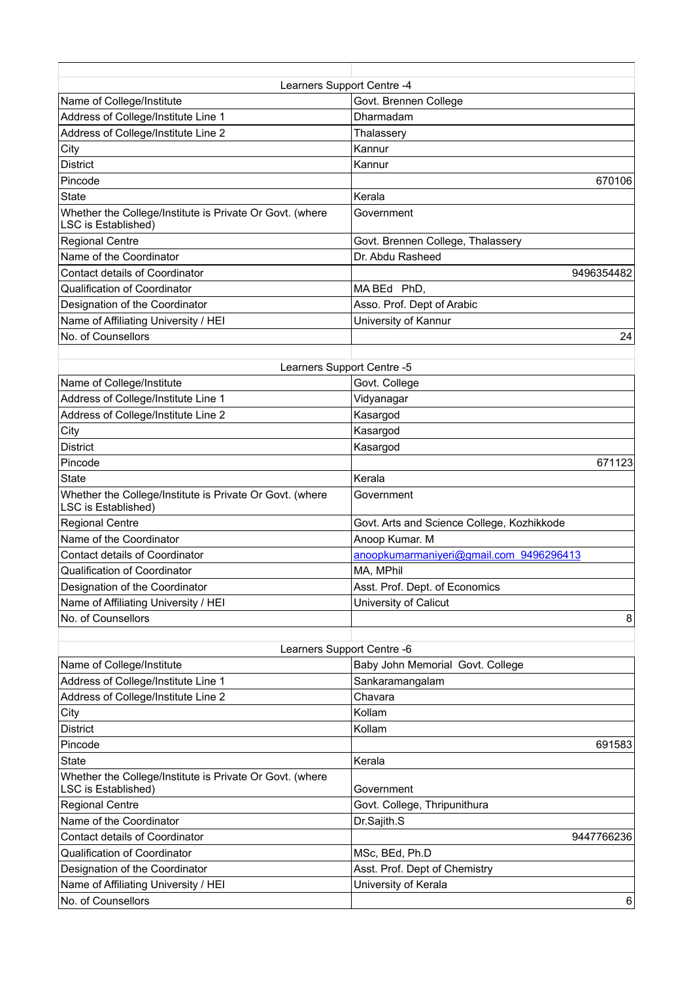| Learners Support Centre -4                                                      |                                   |  |
|---------------------------------------------------------------------------------|-----------------------------------|--|
| Name of College/Institute                                                       | Govt. Brennen College             |  |
| Address of College/Institute Line 1                                             | Dharmadam                         |  |
| Address of College/Institute Line 2                                             | Thalassery                        |  |
| City                                                                            | Kannur                            |  |
| <b>District</b>                                                                 | Kannur                            |  |
| Pincode                                                                         | 670106                            |  |
| <b>State</b>                                                                    | Kerala                            |  |
| Whether the College/Institute is Private Or Govt. (where<br>LSC is Established) | Government                        |  |
| <b>Regional Centre</b>                                                          | Govt. Brennen College, Thalassery |  |
| Name of the Coordinator                                                         | Dr. Abdu Rasheed                  |  |
| Contact details of Coordinator                                                  | 9496354482                        |  |
| Qualification of Coordinator                                                    | MABEd PhD,                        |  |
| Designation of the Coordinator                                                  | Asso. Prof. Dept of Arabic        |  |
| Name of Affiliating University / HEI                                            | University of Kannur              |  |
| No. of Counsellors                                                              | 24                                |  |

| Learners Support Centre -5                 |  |  |
|--------------------------------------------|--|--|
| Govt. College                              |  |  |
| Vidyanagar                                 |  |  |
| Kasargod                                   |  |  |
| Kasargod                                   |  |  |
| Kasargod                                   |  |  |
| 671123                                     |  |  |
| Kerala                                     |  |  |
| Government                                 |  |  |
| Govt. Arts and Science College, Kozhikkode |  |  |
| Anoop Kumar. M                             |  |  |
| anoopkumarmaniyeri@gmail.com 9496296413    |  |  |
| MA, MPhil                                  |  |  |
| Asst. Prof. Dept. of Economics             |  |  |
| University of Calicut                      |  |  |
| 8                                          |  |  |
|                                            |  |  |

| Learners Support Centre -6                                                      |                                  |  |
|---------------------------------------------------------------------------------|----------------------------------|--|
| Name of College/Institute                                                       | Baby John Memorial Govt. College |  |
| Address of College/Institute Line 1                                             | Sankaramangalam                  |  |
| Address of College/Institute Line 2                                             | Chavara                          |  |
| City                                                                            | Kollam                           |  |
| <b>District</b>                                                                 | Kollam                           |  |
| Pincode                                                                         | 691583                           |  |
| <b>State</b>                                                                    | Kerala                           |  |
| Whether the College/Institute is Private Or Govt. (where<br>LSC is Established) | Government                       |  |
| <b>Regional Centre</b>                                                          | Govt. College, Thripunithura     |  |
| Name of the Coordinator                                                         | Dr.Sajith.S                      |  |
| Contact details of Coordinator                                                  | 9447766236                       |  |
| Qualification of Coordinator                                                    | MSc, BEd, Ph.D                   |  |
| Designation of the Coordinator                                                  | Asst. Prof. Dept of Chemistry    |  |
| Name of Affiliating University / HEI                                            | University of Kerala             |  |
| No. of Counsellors                                                              | 6                                |  |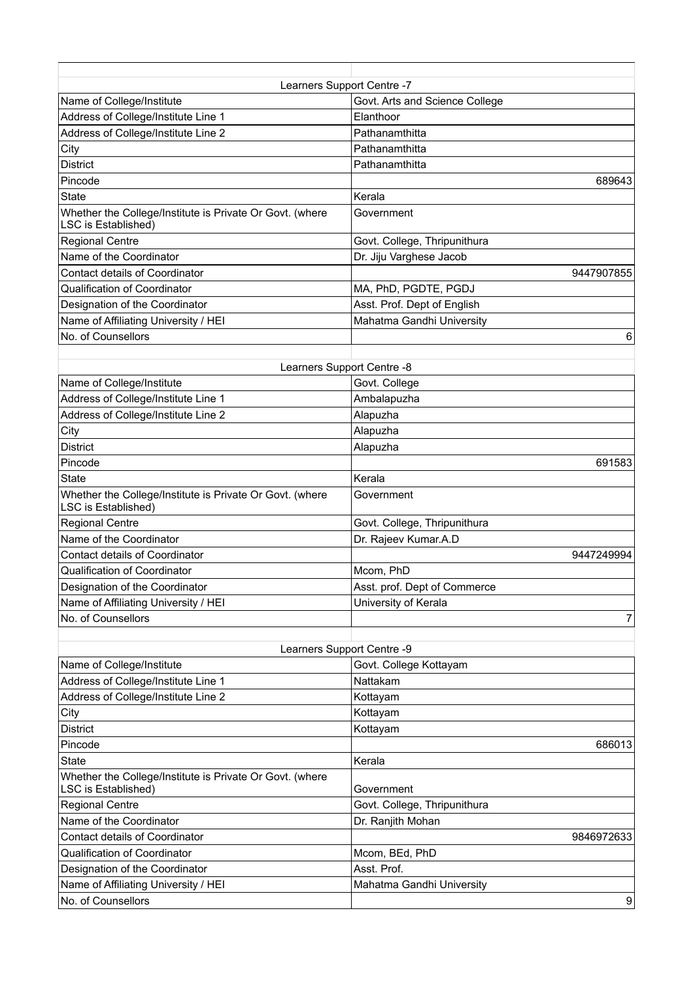| Learners Support Centre -7                                                      |                                |  |
|---------------------------------------------------------------------------------|--------------------------------|--|
| Name of College/Institute                                                       | Govt. Arts and Science College |  |
| Address of College/Institute Line 1                                             | Elanthoor                      |  |
| Address of College/Institute Line 2                                             | Pathanamthitta                 |  |
| City                                                                            | Pathanamthitta                 |  |
| <b>District</b>                                                                 | Pathanamthitta                 |  |
| Pincode                                                                         | 689643                         |  |
| <b>State</b>                                                                    | Kerala                         |  |
| Whether the College/Institute is Private Or Govt. (where<br>LSC is Established) | Government                     |  |
| <b>Regional Centre</b>                                                          | Govt. College, Thripunithura   |  |
| Name of the Coordinator                                                         | Dr. Jiju Varghese Jacob        |  |
| Contact details of Coordinator                                                  | 9447907855                     |  |
| Qualification of Coordinator                                                    | MA, PhD, PGDTE, PGDJ           |  |
| Designation of the Coordinator                                                  | Asst. Prof. Dept of English    |  |
| Name of Affiliating University / HEI                                            | Mahatma Gandhi University      |  |
| No. of Counsellors                                                              | 6                              |  |
|                                                                                 |                                |  |

| Learners Support Centre -8                                                      |                              |  |
|---------------------------------------------------------------------------------|------------------------------|--|
| Name of College/Institute                                                       | Govt. College                |  |
| Address of College/Institute Line 1                                             | Ambalapuzha                  |  |
| Address of College/Institute Line 2                                             | Alapuzha                     |  |
| City                                                                            | Alapuzha                     |  |
| <b>District</b>                                                                 | Alapuzha                     |  |
| Pincode                                                                         | 691583                       |  |
| State                                                                           | Kerala                       |  |
| Whether the College/Institute is Private Or Govt. (where<br>LSC is Established) | Government                   |  |
| <b>Regional Centre</b>                                                          | Govt. College, Thripunithura |  |
| Name of the Coordinator                                                         | Dr. Rajeev Kumar.A.D         |  |
| <b>Contact details of Coordinator</b>                                           | 9447249994                   |  |
| Qualification of Coordinator                                                    | Mcom, PhD                    |  |
| Designation of the Coordinator                                                  | Asst. prof. Dept of Commerce |  |
| Name of Affiliating University / HEI                                            | University of Kerala         |  |
| No. of Counsellors                                                              |                              |  |
|                                                                                 |                              |  |

| Learners Support Centre -9                                                      |                              |  |
|---------------------------------------------------------------------------------|------------------------------|--|
| Name of College/Institute                                                       | Govt. College Kottayam       |  |
| Address of College/Institute Line 1                                             | Nattakam                     |  |
| Address of College/Institute Line 2                                             | Kottayam                     |  |
| City                                                                            | Kottayam                     |  |
| <b>District</b>                                                                 | Kottayam                     |  |
| Pincode                                                                         | 686013                       |  |
| <b>State</b>                                                                    | Kerala                       |  |
| Whether the College/Institute is Private Or Govt. (where<br>LSC is Established) | Government                   |  |
| Regional Centre                                                                 | Govt. College, Thripunithura |  |
| Name of the Coordinator                                                         | Dr. Ranjith Mohan            |  |
| <b>Contact details of Coordinator</b>                                           | 9846972633                   |  |
| Qualification of Coordinator                                                    | Mcom, BEd, PhD               |  |
| Designation of the Coordinator                                                  | Asst. Prof.                  |  |
| Name of Affiliating University / HEI                                            | Mahatma Gandhi University    |  |
| No. of Counsellors                                                              | 9                            |  |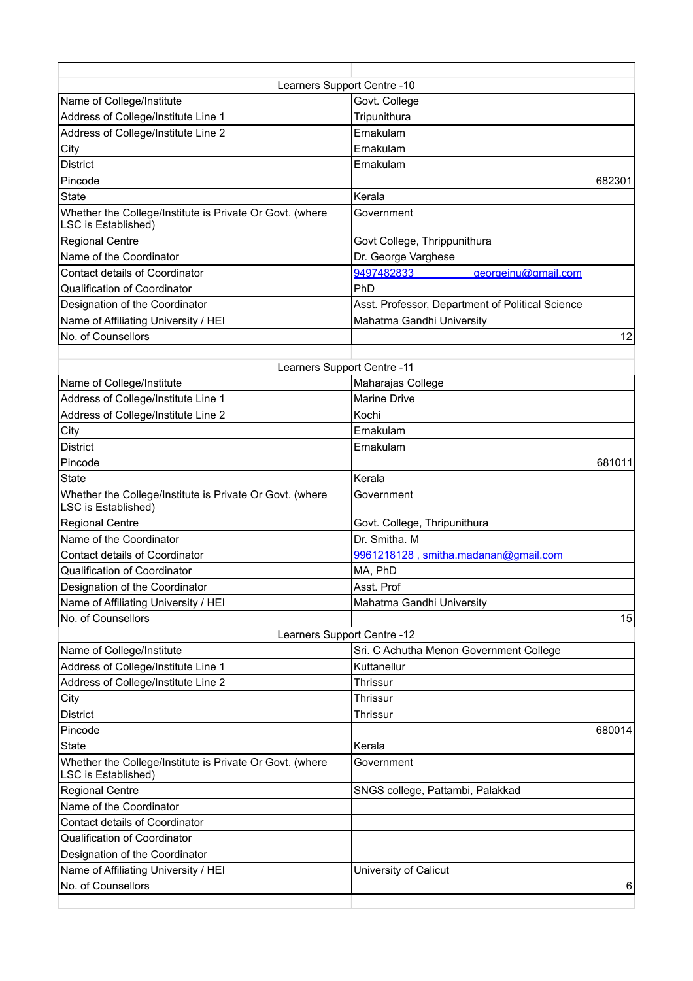| Learners Support Centre -10                                                     |                                                  |  |
|---------------------------------------------------------------------------------|--------------------------------------------------|--|
| Name of College/Institute                                                       | Govt. College                                    |  |
| Address of College/Institute Line 1                                             | Tripunithura                                     |  |
| Address of College/Institute Line 2                                             | Ernakulam                                        |  |
| City                                                                            | Ernakulam                                        |  |
| <b>District</b>                                                                 | Ernakulam                                        |  |
| Pincode                                                                         | 682301                                           |  |
| <b>State</b>                                                                    | Kerala                                           |  |
| Whether the College/Institute is Private Or Govt. (where<br>LSC is Established) | Government                                       |  |
| <b>Regional Centre</b>                                                          | Govt College, Thrippunithura                     |  |
| Name of the Coordinator                                                         | Dr. George Varghese                              |  |
| Contact details of Coordinator                                                  | 9497482833<br>georgeinu@gmail.com                |  |
| Qualification of Coordinator                                                    | <b>PhD</b>                                       |  |
| Designation of the Coordinator                                                  | Asst. Professor, Department of Political Science |  |
| Name of Affiliating University / HEI                                            | Mahatma Gandhi University                        |  |
| No. of Counsellors                                                              | 12                                               |  |

| Learners Support Centre -11                                                            |                                         |  |
|----------------------------------------------------------------------------------------|-----------------------------------------|--|
| Name of College/Institute                                                              | Maharajas College                       |  |
| Address of College/Institute Line 1                                                    | <b>Marine Drive</b>                     |  |
| Address of College/Institute Line 2                                                    | Kochi                                   |  |
| City                                                                                   | Ernakulam                               |  |
| <b>District</b>                                                                        | Ernakulam                               |  |
| Pincode                                                                                | 681011                                  |  |
| <b>State</b>                                                                           | Kerala                                  |  |
| Whether the College/Institute is Private Or Govt. (where<br>LSC is Established)        | Government                              |  |
| <b>Regional Centre</b>                                                                 | Govt. College, Thripunithura            |  |
| Name of the Coordinator                                                                | Dr. Smitha, M.                          |  |
| Contact details of Coordinator                                                         | 9961218128, smitha.madanan@gmail.com    |  |
| Qualification of Coordinator                                                           | MA, PhD                                 |  |
| Designation of the Coordinator                                                         | Asst. Prof                              |  |
| Name of Affiliating University / HEI                                                   | Mahatma Gandhi University               |  |
| No. of Counsellors                                                                     | 15                                      |  |
| Learners Support Centre -12                                                            |                                         |  |
| Name of College/Institute                                                              | Sri. C Achutha Menon Government College |  |
| Address of College/Institute Line 1                                                    | Kuttanellur                             |  |
| Address of College/Institute Line 2                                                    | Thrissur                                |  |
| City                                                                                   | <b>Thrissur</b>                         |  |
| <b>District</b>                                                                        | Thrissur                                |  |
| Pincode                                                                                | 680014                                  |  |
| <b>State</b>                                                                           | Kerala                                  |  |
| Whether the College/Institute is Private Or Govt. (where<br><b>LSC</b> is Established) | Government                              |  |
| <b>Regional Centre</b>                                                                 | SNGS college, Pattambi, Palakkad        |  |
| Name of the Coordinator                                                                |                                         |  |
| <b>Contact details of Coordinator</b>                                                  |                                         |  |
| Qualification of Coordinator                                                           |                                         |  |
| Designation of the Coordinator                                                         |                                         |  |
| Name of Affiliating University / HEI                                                   | University of Calicut                   |  |
| No. of Counsellors                                                                     | 6                                       |  |
|                                                                                        |                                         |  |